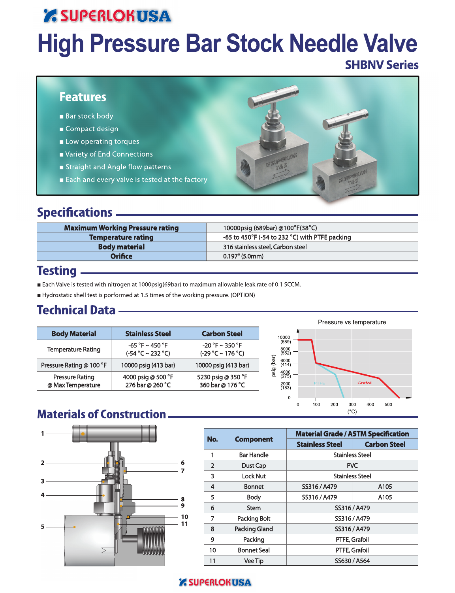# *' SUPERLOKUSA* **High Pressure Bar Stock Needle Valve**

### **SHBNV Series**

### **Features**

- **Bar stock body**
- Compact design
- Low operating torques
- Variety of End Connections
- Straight and Angle flow patterns
- Each and every valve is tested at the factory

### **Specifications** \_\_\_\_\_

| <b>Maximum Working Pressure rating</b> | 10000psig (689bar) @100°F(38°C)                |
|----------------------------------------|------------------------------------------------|
| <b>Temperature rating</b>              | -65 to 450°F (-54 to 232 °C) with PTFE packing |
| <b>Body material</b>                   | 316 stainless steel, Carbon steel              |
| <b>Orifice</b>                         | $0.197$ " (5.0mm)                              |
|                                        |                                                |

### **Testing**

- Each Valve is tested with nitrogen at 1000psig(69bar) to maximum allowable leak rate of 0.1 SCCM.
- Hydrostatic shell test is porformed at 1.5 times of the working pressure. (OPTION)

### **Technical Data -**

| <b>Body Material</b>                        | <b>Stainless Steel</b>                         | <b>Carbon Steel</b>                            | 10000                                  |
|---------------------------------------------|------------------------------------------------|------------------------------------------------|----------------------------------------|
| <b>Temperature Rating</b>                   | $-65 °F \sim 450 °F$<br>$(-54 °C \sim 232 °C)$ | $-20 °F \sim 350 °F$<br>$(-29 °C \sim 176 °C)$ | (689)<br>8000<br>(552)                 |
| Pressure Rating @ 100 °F                    | 10000 psig (413 bar)                           | 10000 psig (413 bar)                           | (bar)<br>6000<br>(414)                 |
| <b>Pressure Rating</b><br>@ Max Temperature | 4000 psig @ 500 °F<br>276 bar @ 260 °C         | 5230 psig @ 350 °F<br>360 bar @ 176 °C         | psig<br>4000<br>(275)<br>2000<br>(183) |



### **Materials of Construction**



| No.            |                    | <b>Material Grade / ASTM Specification</b> |                     |  |  |  |  |  |  |
|----------------|--------------------|--------------------------------------------|---------------------|--|--|--|--|--|--|
|                | <b>Component</b>   | <b>Stainless Steel</b>                     | <b>Carbon Steel</b> |  |  |  |  |  |  |
| 1              | <b>Bar Handle</b>  | <b>Stainless Steel</b>                     |                     |  |  |  |  |  |  |
| $\overline{2}$ | Dust Cap           |                                            | <b>PVC</b>          |  |  |  |  |  |  |
| 3              | <b>Lock Nut</b>    | <b>Stainless Steel</b>                     |                     |  |  |  |  |  |  |
| 4              | <b>Bonnet</b>      | SS316 / A479                               | A105                |  |  |  |  |  |  |
| 5              | Body               | SS316 / A479                               | A105                |  |  |  |  |  |  |
| 6              | Stem               | SS316 / A479                               |                     |  |  |  |  |  |  |
| 7              | Packing Bolt       | SS316 / A479                               |                     |  |  |  |  |  |  |
| 8              | Packing Gland      | SS316 / A479                               |                     |  |  |  |  |  |  |
| 9              | Packing            | PTFE, Grafoil                              |                     |  |  |  |  |  |  |
| 10             | <b>Bonnet Seal</b> | PTFE, Grafoil                              |                     |  |  |  |  |  |  |
| 11             | Vee Tip            | SS630 / A564                               |                     |  |  |  |  |  |  |

#### **Z SUPERLOKUSA**